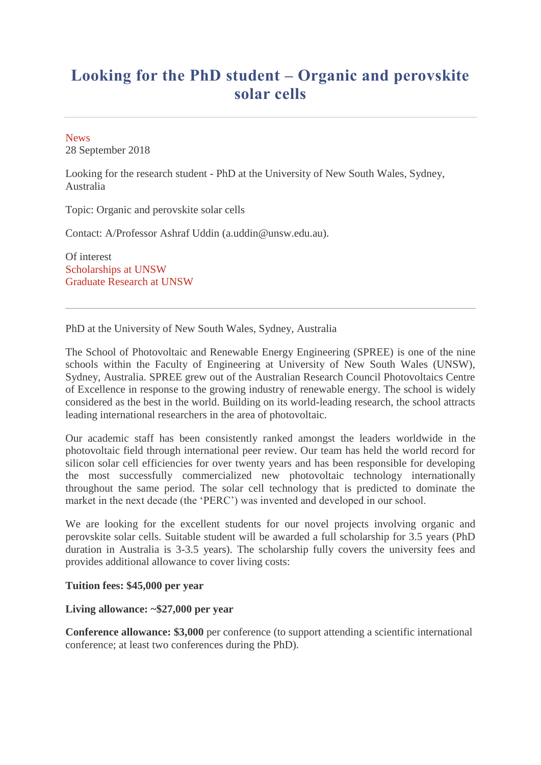## **Looking for the PhD student – Organic and perovskite solar cells**

**[News](https://www.engineering.unsw.edu.au/energy-engineering/news?story-type=5)** 28 September 2018

Looking for the research student - PhD at the University of New South Wales, Sydney, Australia

Topic: Organic and perovskite solar cells

Contact: A/Professor Ashraf Uddin (a.uddin@unsw.edu.au).

Of interest [Scholarships at UNSW](https://www.scholarships.unsw.edu.au/) [Graduate Research at UNSW](https://research.unsw.edu.au/graduate-research)

PhD at the University of New South Wales, Sydney, Australia

The School of Photovoltaic and Renewable Energy Engineering (SPREE) is one of the nine schools within the Faculty of Engineering at University of New South Wales (UNSW), Sydney, Australia. SPREE grew out of the Australian Research Council Photovoltaics Centre of Excellence in response to the growing industry of renewable energy. The school is widely considered as the best in the world. Building on its world-leading research, the school attracts leading international researchers in the area of photovoltaic.

Our academic staff has been consistently ranked amongst the leaders worldwide in the photovoltaic field through international peer review. Our team has held the world record for silicon solar cell efficiencies for over twenty years and has been responsible for developing the most successfully commercialized new photovoltaic technology internationally throughout the same period. The solar cell technology that is predicted to dominate the market in the next decade (the 'PERC') was invented and developed in our school.

We are looking for the excellent students for our novel projects involving organic and perovskite solar cells. Suitable student will be awarded a full scholarship for 3.5 years (PhD duration in Australia is 3-3.5 years). The scholarship fully covers the university fees and provides additional allowance to cover living costs:

**Tuition fees: \$45,000 per year**

## **Living allowance: ~\$27,000 per year**

**Conference allowance: \$3,000** per conference (to support attending a scientific international conference; at least two conferences during the PhD).